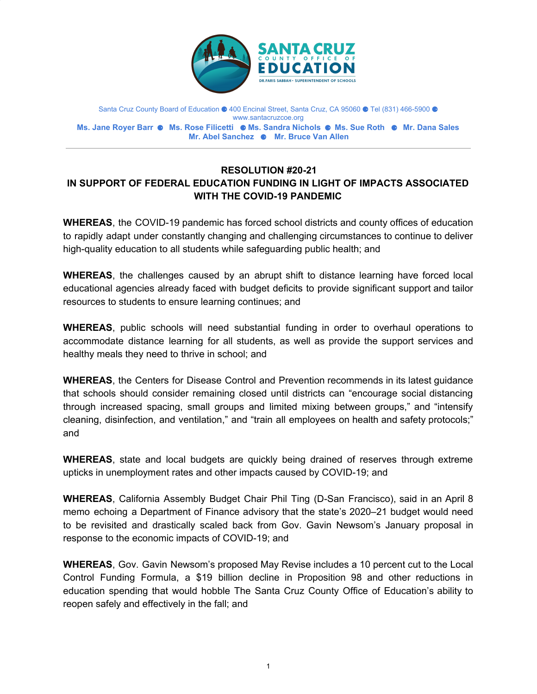

Santa Cruz County Board of Education ● 400 Encinal Street, Santa Cruz, CA 95060 ● Tel (831) 466-5900 ● www.santacruzcoe.org **Ms. Jane Royer Barr** ⚈ **Ms. Rose Filicetti** ⚈ **Ms. Sandra Nichols** ⚈ **Ms. Sue Roth** ⚈ **Mr. Dana Sales Mr. Abel Sanchez** ⚈ **Mr. Bruce Van Allen**

## **RESOLUTION #20-21 IN SUPPORT OF FEDERAL EDUCATION FUNDING IN LIGHT OF IMPACTS ASSOCIATED WITH THE COVID-19 PANDEMIC**

**WHEREAS**, the COVID-19 pandemic has forced school districts and county offices of education to rapidly adapt under constantly changing and challenging circumstances to continue to deliver high-quality education to all students while safeguarding public health; and

**WHEREAS**, the challenges caused by an abrupt shift to distance learning have forced local educational agencies already faced with budget deficits to provide significant support and tailor resources to students to ensure learning continues; and

**WHEREAS**, public schools will need substantial funding in order to overhaul operations to accommodate distance learning for all students, as well as provide the support services and healthy meals they need to thrive in school; and

**WHEREAS**, the Centers for Disease Control and Prevention recommends in its latest guidance that schools should consider remaining closed until districts can "encourage social distancing through increased spacing, small groups and limited mixing between groups," and "intensify cleaning, disinfection, and ventilation," and "train all employees on health and safety protocols;" and

**WHEREAS**, state and local budgets are quickly being drained of reserves through extreme upticks in unemployment rates and other impacts caused by COVID-19; and

**WHEREAS**, California Assembly Budget Chair Phil Ting (D-San Francisco), said in an April 8 memo echoing a Department of Finance advisory that the state's 2020–21 budget would need to be revisited and drastically scaled back from Gov. Gavin Newsom's January proposal in response to the economic impacts of COVID-19; and

**WHEREAS**, Gov. Gavin Newsom's proposed May Revise includes a 10 percent cut to the Local Control Funding Formula, a \$19 billion decline in Proposition 98 and other reductions in education spending that would hobble The Santa Cruz County Office of Education's ability to reopen safely and effectively in the fall; and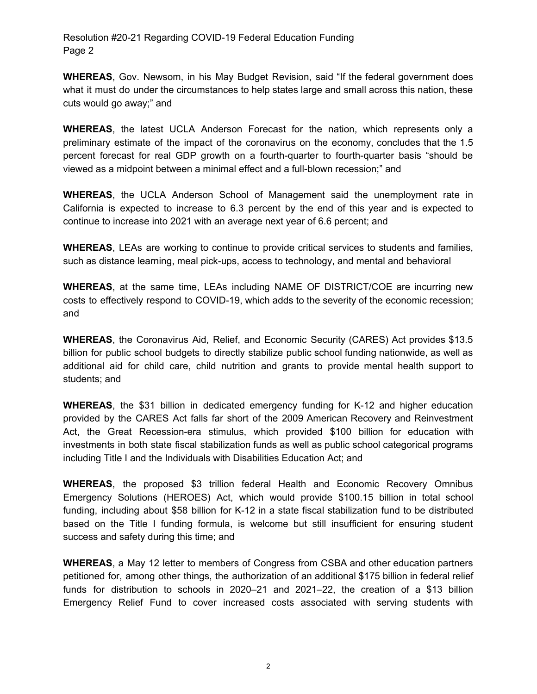Resolution #20-21 Regarding COVID-19 Federal Education Funding Page 2

**WHEREAS**, Gov. Newsom, in his May Budget Revision, said "If the federal government does what it must do under the circumstances to help states large and small across this nation, these cuts would go away;" and

**WHEREAS**, the latest UCLA Anderson Forecast for the nation, which represents only a preliminary estimate of the impact of the coronavirus on the economy, concludes that the 1.5 percent forecast for real GDP growth on a fourth-quarter to fourth-quarter basis "should be viewed as a midpoint between a minimal effect and a full-blown recession;" and

**WHEREAS**, the UCLA Anderson School of Management said the unemployment rate in California is expected to increase to 6.3 percent by the end of this year and is expected to continue to increase into 2021 with an average next year of 6.6 percent; and

**WHEREAS**, LEAs are working to continue to provide critical services to students and families, such as distance learning, meal pick-ups, access to technology, and mental and behavioral

**WHEREAS**, at the same time, LEAs including NAME OF DISTRICT/COE are incurring new costs to effectively respond to COVID-19, which adds to the severity of the economic recession; and

**WHEREAS**, the Coronavirus Aid, Relief, and Economic Security (CARES) Act provides \$13.5 billion for public school budgets to directly stabilize public school funding nationwide, as well as additional aid for child care, child nutrition and grants to provide mental health support to students; and

**WHEREAS**, the \$31 billion in dedicated emergency funding for K-12 and higher education provided by the CARES Act falls far short of the 2009 American Recovery and Reinvestment Act, the Great Recession-era stimulus, which provided \$100 billion for education with investments in both state fiscal stabilization funds as well as public school categorical programs including Title I and the Individuals with Disabilities Education Act; and

**WHEREAS**, the proposed \$3 trillion federal Health and Economic Recovery Omnibus Emergency Solutions (HEROES) Act, which would provide \$100.15 billion in total school funding, including about \$58 billion for K-12 in a state fiscal stabilization fund to be distributed based on the Title I funding formula, is welcome but still insufficient for ensuring student success and safety during this time; and

**WHEREAS**, a May 12 letter to members of Congress from CSBA and other education partners petitioned for, among other things, the authorization of an additional \$175 billion in federal relief funds for distribution to schools in 2020–21 and 2021–22, the creation of a \$13 billion Emergency Relief Fund to cover increased costs associated with serving students with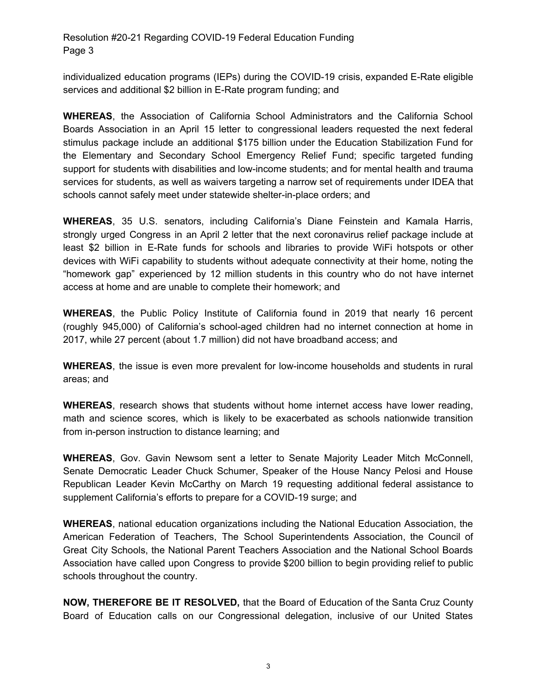Resolution #20-21 Regarding COVID-19 Federal Education Funding Page 3

individualized education programs (IEPs) during the COVID-19 crisis, expanded E-Rate eligible services and additional \$2 billion in E-Rate program funding; and

**WHEREAS**, the Association of California School Administrators and the California School Boards Association in an April 15 letter to congressional leaders requested the next federal stimulus package include an additional \$175 billion under the Education Stabilization Fund for the Elementary and Secondary School Emergency Relief Fund; specific targeted funding support for students with disabilities and low-income students; and for mental health and trauma services for students, as well as waivers targeting a narrow set of requirements under IDEA that schools cannot safely meet under statewide shelter-in-place orders; and

**WHEREAS**, 35 U.S. senators, including California's Diane Feinstein and Kamala Harris, strongly urged Congress in an April 2 letter that the next coronavirus relief package include at least \$2 billion in E-Rate funds for schools and libraries to provide WiFi hotspots or other devices with WiFi capability to students without adequate connectivity at their home, noting the "homework gap" experienced by 12 million students in this country who do not have internet access at home and are unable to complete their homework; and

**WHEREAS**, the Public Policy Institute of California found in 2019 that nearly 16 percent (roughly 945,000) of California's school-aged children had no internet connection at home in 2017, while 27 percent (about 1.7 million) did not have broadband access; and

**WHEREAS**, the issue is even more prevalent for low-income households and students in rural areas; and

**WHEREAS**, research shows that students without home internet access have lower reading, math and science scores, which is likely to be exacerbated as schools nationwide transition from in-person instruction to distance learning; and

**WHEREAS**, Gov. Gavin Newsom sent a letter to Senate Majority Leader Mitch McConnell, Senate Democratic Leader Chuck Schumer, Speaker of the House Nancy Pelosi and House Republican Leader Kevin McCarthy on March 19 requesting additional federal assistance to supplement California's efforts to prepare for a COVID-19 surge; and

**WHEREAS**, national education organizations including the National Education Association, the American Federation of Teachers, The School Superintendents Association, the Council of Great City Schools, the National Parent Teachers Association and the National School Boards Association have called upon Congress to provide \$200 billion to begin providing relief to public schools throughout the country.

**NOW, THEREFORE BE IT RESOLVED,** that the Board of Education of the Santa Cruz County Board of Education calls on our Congressional delegation, inclusive of our United States